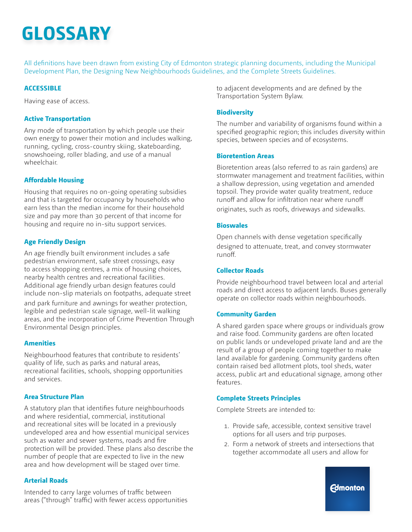All definitions have been drawn from existing City of Edmonton strategic planning documents, including the Municipal Development Plan, the Designing New Neighbourhoods Guidelines, and the Complete Streets Guidelines.

## **ACCESSIBLE**

Having ease of access.

#### **Active Transportation**

Any mode of transportation by which people use their own energy to power their motion and includes walking, running, cycling, cross-country skiing, skateboarding, snowshoeing, roller blading, and use of a manual wheelchair.

## **Affordable Housing**

Housing that requires no on-going operating subsidies and that is targeted for occupancy by households who earn less than the median income for their household size and pay more than 30 percent of that income for housing and require no in-situ support services.

## **Age Friendly Design**

An age friendly built environment includes a safe pedestrian environment, safe street crossings, easy to access shopping centres, a mix of housing choices, nearby health centres and recreational facilities. Additional age friendly urban design features could include non-slip materials on footpaths, adequate street and park furniture and awnings for weather protection, legible and pedestrian scale signage, well-lit walking areas, and the incorporation of Crime Prevention Through Environmental Design principles.

#### **Amenities**

Neighbourhood features that contribute to residents' quality of life, such as parks and natural areas, recreational facilities, schools, shopping opportunities and services.

#### **Area Structure Plan**

A statutory plan that identifies future neighbourhoods and where residential, commercial, institutional and recreational sites will be located in a previously undeveloped area and how essential municipal services such as water and sewer systems, roads and fire protection will be provided. These plans also describe the number of people that are expected to live in the new area and how development will be staged over time.

#### **Arterial Roads**

Intended to carry large volumes of traffic between areas ("through" traffic) with fewer access opportunities to adjacent developments and are defined by the Transportation System Bylaw.

#### **Biodiversity**

The number and variability of organisms found within a specified geographic region; this includes diversity within species, between species and of ecosystems.

#### **Bioretention Areas**

Bioretention areas (also referred to as rain gardens) are stormwater management and treatment facilities, within a shallow depression, using vegetation and amended topsoil. They provide water quality treatment, reduce runoff and allow for infiltration near where runoff originates, such as roofs, driveways and sidewalks.

#### **Bioswales**

Open channels with dense vegetation specifically designed to attenuate, treat, and convey stormwater runoff.

#### **Collector Roads**

Provide neighbourhood travel between local and arterial roads and direct access to adjacent lands. Buses generally operate on collector roads within neighbourhoods.

#### **Community Garden**

A shared garden space where groups or individuals grow and raise food. Community gardens are often located on public lands or undeveloped private land and are the result of a group of people coming together to make land available for gardening. Community gardens often contain raised bed allotment plots, tool sheds, water access, public art and educational signage, among other features.

#### **Complete Streets Principles**

Complete Streets are intended to:

- 1. Provide safe, accessible, context sensitive travel options for all users and trip purposes.
- 2. Form a network of streets and intersections that together accommodate all users and allow for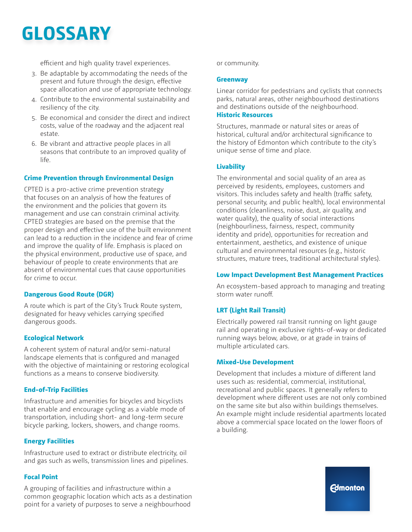efficient and high quality travel experiences.

- 3. Be adaptable by accommodating the needs of the present and future through the design, effective space allocation and use of appropriate technology.
- 4. Contribute to the environmental sustainability and resiliency of the city.
- 5. Be economical and consider the direct and indirect costs, value of the roadway and the adjacent real estate.
- 6. Be vibrant and attractive people places in all seasons that contribute to an improved quality of life.

## **Crime Prevention through Environmental Design**

CPTED is a pro-active crime prevention strategy that focuses on an analysis of how the features of the environment and the policies that govern its management and use can constrain criminal activity. CPTED strategies are based on the premise that the proper design and effective use of the built environment can lead to a reduction in the incidence and fear of crime and improve the quality of life. Emphasis is placed on the physical environment, productive use of space, and behaviour of people to create environments that are absent of environmental cues that cause opportunities for crime to occur.

## **Dangerous Good Route (DGR)**

A route which is part of the City's Truck Route system, designated for heavy vehicles carrying specified dangerous goods.

# **Ecological Network**

A coherent system of natural and/or semi-natural landscape elements that is configured and managed with the objective of maintaining or restoring ecological functions as a means to conserve biodiversity.

# **End-of-Trip Facilities**

Infrastructure and amenities for bicycles and bicyclists that enable and encourage cycling as a viable mode of transportation, including short- and long-term secure bicycle parking, lockers, showers, and change rooms.

## **Energy Facilities**

Infrastructure used to extract or distribute electricity, oil and gas such as wells, transmission lines and pipelines.

## **Focal Point**

A grouping of facilities and infrastructure within a common geographic location which acts as a destination point for a variety of purposes to serve a neighbourhood

or community.

#### **Greenway**

Linear corridor for pedestrians and cyclists that connects parks, natural areas, other neighbourhood destinations and destinations outside of the neighbourhood.

#### **Historic Resources**

Structures, manmade or natural sites or areas of historical, cultural and/or architectural significance to the history of Edmonton which contribute to the city's unique sense of time and place.

## **Livability**

The environmental and social quality of an area as perceived by residents, employees, customers and visitors. This includes safety and health (traffic safety, personal security, and public health), local environmental conditions (cleanliness, noise, dust, air quality, and water quality), the quality of social interactions (neighbourliness, fairness, respect, community identity and pride), opportunities for recreation and entertainment, aesthetics, and existence of unique cultural and environmental resources (e.g., historic structures, mature trees, traditional architectural styles).

## **Low Impact Development Best Management Practices**

An ecosystem-based approach to managing and treating storm water runoff.

# **LRT (Light Rail Transit)**

Electrically powered rail transit running on light gauge rail and operating in exclusive rights-of-way or dedicated running ways below, above, or at grade in trains of multiple articulated cars.

#### **Mixed-Use Development**

Development that includes a mixture of different land uses such as: residential, commercial, institutional, recreational and public spaces. It generally refers to development where different uses are not only combined on the same site but also within buildings themselves. An example might include residential apartments located above a commercial space located on the lower floors of a building.

**Edmonton**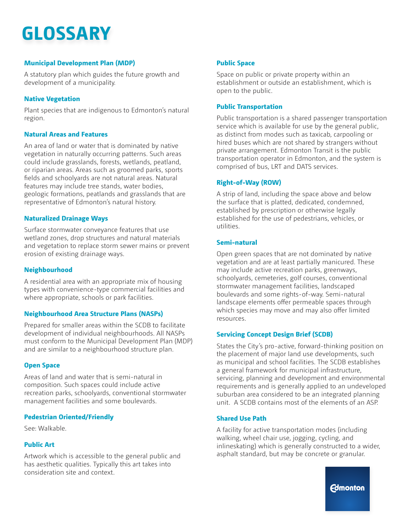# **Municipal Development Plan (MDP)**

A statutory plan which guides the future growth and development of a municipality.

## **Native Vegetation**

Plant species that are indigenous to Edmonton's natural region.

## **Natural Areas and Features**

An area of land or water that is dominated by native vegetation in naturally occurring patterns. Such areas could include grasslands, forests, wetlands, peatland, or riparian areas. Areas such as groomed parks, sports fields and schoolyards are not natural areas. Natural features may include tree stands, water bodies, geologic formations, peatlands and grasslands that are representative of Edmonton's natural history.

#### **Naturalized Drainage Ways**

Surface stormwater conveyance features that use wetland zones, drop structures and natural materials and vegetation to replace storm sewer mains or prevent erosion of existing drainage ways.

## **Neighbourhood**

A residential area with an appropriate mix of housing types with convenience-type commercial facilities and where appropriate, schools or park facilities.

## **Neighbourhood Area Structure Plans (NASPs)**

Prepared for smaller areas within the SCDB to facilitate development of individual neighbourhoods. All NASPs must conform to the Municipal Development Plan (MDP) and are similar to a neighbourhood structure plan.

## **Open Space**

Areas of land and water that is semi-natural in composition. Such spaces could include active recreation parks, schoolyards, conventional stormwater management facilities and some boulevards.

## **Pedestrian Oriented/Friendly**

See: Walkable.

## **Public Art**

Artwork which is accessible to the general public and has aesthetic qualities. Typically this art takes into consideration site and context.

## **Public Space**

Space on public or private property within an establishment or outside an establishment, which is open to the public.

#### **Public Transportation**

Public transportation is a shared passenger transportation service which is available for use by the general public, as distinct from modes such as taxicab, carpooling or hired buses which are not shared by strangers without private arrangement. Edmonton Transit is the public transportation operator in Edmonton, and the system is comprised of bus, LRT and DATS services.

#### **Right-of-Way (ROW)**

A strip of land, including the space above and below the surface that is platted, dedicated, condemned, established by prescription or otherwise legally established for the use of pedestrians, vehicles, or utilities.

## **Semi-natural**

Open green spaces that are not dominated by native vegetation and are at least partially manicured. These may include active recreation parks, greenways, schoolyards, cemeteries, golf courses, conventional stormwater management facilities, landscaped boulevards and some rights-of-way. Semi-natural landscape elements offer permeable spaces through which species may move and may also offer limited resources.

## **Servicing Concept Design Brief (SCDB)**

States the City's pro-active, forward-thinking position on the placement of major land use developments, such as municipal and school facilities. The SCDB establishes a general framework for municipal infrastructure, servicing, planning and development and environmental requirements and is generally applied to an undeveloped suburban area considered to be an integrated planning unit. A SCDB contains most of the elements of an ASP.

#### **Shared Use Path**

A facility for active transportation modes (including walking, wheel chair use, jogging, cycling, and inlineskating) which is generally constructed to a wider, asphalt standard, but may be concrete or granular.

**Edmonton**